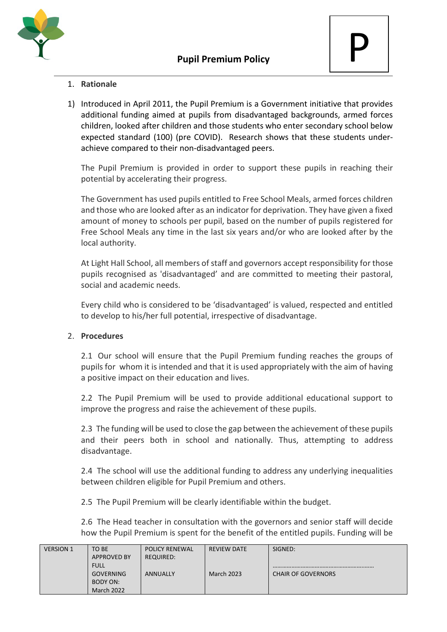

## 1. **Rationale**

1) Introduced in April 2011, the Pupil Premium is a Government initiative that provides additional funding aimed at pupils from disadvantaged backgrounds, armed forces children, looked after children and those students who enter secondary school below expected standard (100) (pre COVID). Research shows that these students underachieve compared to their non-disadvantaged peers.

The Pupil Premium is provided in order to support these pupils in reaching their potential by accelerating their progress.

The Government has used pupils entitled to Free School Meals, armed forces children and those who are looked after as an indicator for deprivation. They have given a fixed amount of money to schools per pupil, based on the number of pupils registered for Free School Meals any time in the last six years and/or who are looked after by the local authority.

At Light Hall School, all members of staff and governors accept responsibility for those pupils recognised as 'disadvantaged' and are committed to meeting their pastoral, social and academic needs.

Every child who is considered to be 'disadvantaged' is valued, respected and entitled to develop to his/her full potential, irrespective of disadvantage.

## 2. **Procedures**

2.1 Our school will ensure that the Pupil Premium funding reaches the groups of pupils for whom it is intended and that it is used appropriately with the aim of having a positive impact on their education and lives.

2.2 The Pupil Premium will be used to provide additional educational support to improve the progress and raise the achievement of these pupils.

2.3 The funding will be used to close the gap between the achievement of these pupils and their peers both in school and nationally. Thus, attempting to address disadvantage.

2.4 The school will use the additional funding to address any underlying inequalities between children eligible for Pupil Premium and others.

2.5 The Pupil Premium will be clearly identifiable within the budget.

2.6 The Head teacher in consultation with the governors and senior staff will decide how the Pupil Premium is spent for the benefit of the entitled pupils. Funding will be

| <b>VERSION 1</b> | TO BE              | <b>POLICY RENEWAL</b> | REVIEW DATE       | SIGNED:                   |
|------------------|--------------------|-----------------------|-------------------|---------------------------|
|                  | <b>APPROVED BY</b> | <b>REQUIRED:</b>      |                   |                           |
|                  | <b>FULL</b>        |                       |                   |                           |
|                  | <b>GOVERNING</b>   | ANNUALLY              | <b>March 2023</b> | <b>CHAIR OF GOVERNORS</b> |
|                  | BODY ON:           |                       |                   |                           |
|                  | <b>March 2022</b>  |                       |                   |                           |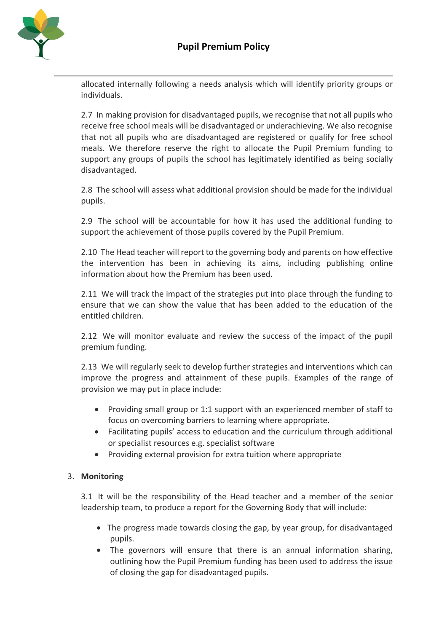

allocated internally following a needs analysis which will identify priority groups or individuals.

2.7 In making provision for disadvantaged pupils, we recognise that not all pupils who receive free school meals will be disadvantaged or underachieving. We also recognise that not all pupils who are disadvantaged are registered or qualify for free school meals. We therefore reserve the right to allocate the Pupil Premium funding to support any groups of pupils the school has legitimately identified as being socially disadvantaged.

2.8 The school will assess what additional provision should be made for the individual pupils.

2.9 The school will be accountable for how it has used the additional funding to support the achievement of those pupils covered by the Pupil Premium.

2.10 The Head teacher will report to the governing body and parents on how effective the intervention has been in achieving its aims, including publishing online information about how the Premium has been used.

2.11 We will track the impact of the strategies put into place through the funding to ensure that we can show the value that has been added to the education of the entitled children.

2.12 We will monitor evaluate and review the success of the impact of the pupil premium funding.

2.13 We will regularly seek to develop further strategies and interventions which can improve the progress and attainment of these pupils. Examples of the range of provision we may put in place include:

- Providing small group or 1:1 support with an experienced member of staff to focus on overcoming barriers to learning where appropriate.
- Facilitating pupils' access to education and the curriculum through additional or specialist resources e.g. specialist software
- Providing external provision for extra tuition where appropriate

## 3. **Monitoring**

3.1 It will be the responsibility of the Head teacher and a member of the senior leadership team, to produce a report for the Governing Body that will include:

- The progress made towards closing the gap, by year group, for disadvantaged pupils.
- The governors will ensure that there is an annual information sharing, outlining how the Pupil Premium funding has been used to address the issue of closing the gap for disadvantaged pupils.